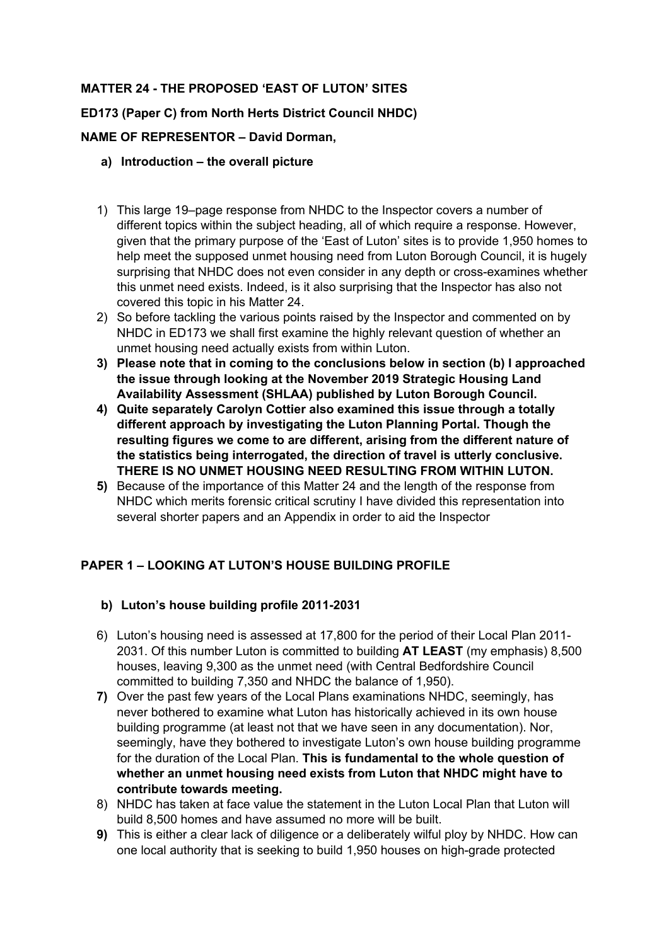# **MATTER 24 - THE PROPOSED 'EAST OF LUTON' SITES**

# **ED173 (Paper C) from North Herts District Council NHDC)**

## **NAME OF REPRESENTOR – David Dorman,**

#### **a) Introduction – the overall picture**

- 1) This large 19–page response from NHDC to the Inspector covers a number of different topics within the subject heading, all of which require a response. However, given that the primary purpose of the 'East of Luton' sites is to provide 1,950 homes to help meet the supposed unmet housing need from Luton Borough Council, it is hugely surprising that NHDC does not even consider in any depth or cross-examines whether this unmet need exists. Indeed, is it also surprising that the Inspector has also not covered this topic in his Matter 24.
- 2) So before tackling the various points raised by the Inspector and commented on by NHDC in ED173 we shall first examine the highly relevant question of whether an unmet housing need actually exists from within Luton.
- **3) Please note that in coming to the conclusions below in section (b) I approached the issue through looking at the November 2019 Strategic Housing Land Availability Assessment (SHLAA) published by Luton Borough Council.**
- **4) Quite separately Carolyn Cottier also examined this issue through a totally different approach by investigating the Luton Planning Portal. Though the resulting figures we come to are different, arising from the different nature of the statistics being interrogated, the direction of travel is utterly conclusive. THERE IS NO UNMET HOUSING NEED RESULTING FROM WITHIN LUTON.**
- **5)** Because of the importance of this Matter 24 and the length of the response from NHDC which merits forensic critical scrutiny I have divided this representation into several shorter papers and an Appendix in order to aid the Inspector

# **PAPER 1 – LOOKING AT LUTON'S HOUSE BUILDING PROFILE**

## **b) Luton's house building profile 2011-2031**

- 6) Luton's housing need is assessed at 17,800 for the period of their Local Plan 2011- 2031. Of this number Luton is committed to building **AT LEAST** (my emphasis) 8,500 houses, leaving 9,300 as the unmet need (with Central Bedfordshire Council committed to building 7,350 and NHDC the balance of 1,950).
- **7)** Over the past few years of the Local Plans examinations NHDC, seemingly, has never bothered to examine what Luton has historically achieved in its own house building programme (at least not that we have seen in any documentation). Nor, seemingly, have they bothered to investigate Luton's own house building programme for the duration of the Local Plan. **This is fundamental to the whole question of whether an unmet housing need exists from Luton that NHDC might have to contribute towards meeting.**
- 8) NHDC has taken at face value the statement in the Luton Local Plan that Luton will build 8,500 homes and have assumed no more will be built.
- **9)** This is either a clear lack of diligence or a deliberately wilful ploy by NHDC. How can one local authority that is seeking to build 1,950 houses on high-grade protected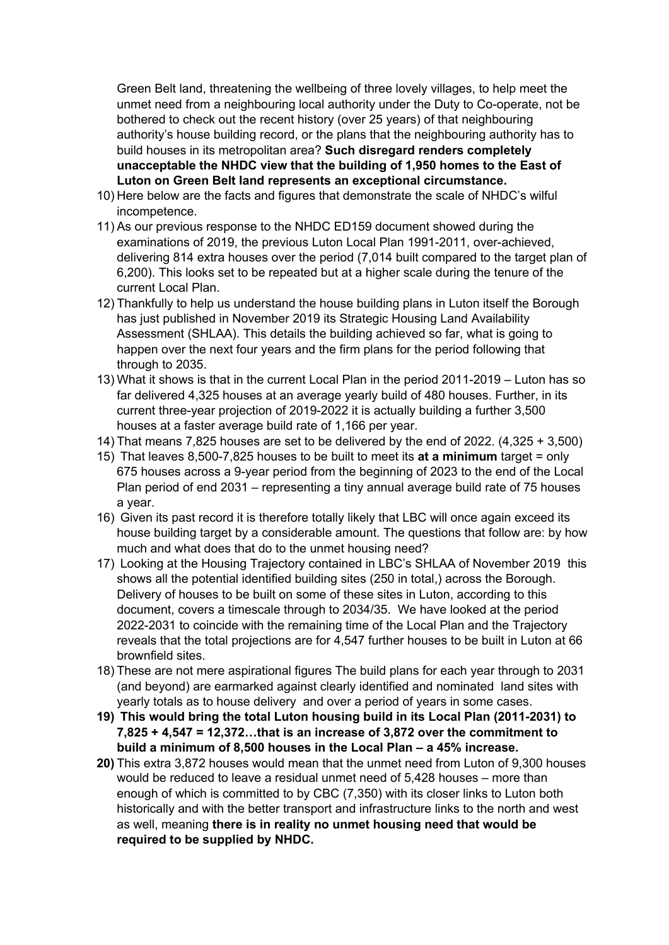Green Belt land, threatening the wellbeing of three lovely villages, to help meet the unmet need from a neighbouring local authority under the Duty to Co-operate, not be bothered to check out the recent history (over 25 years) of that neighbouring authority's house building record, or the plans that the neighbouring authority has to build houses in its metropolitan area? **Such disregard renders completely unacceptable the NHDC view that the building of 1,950 homes to the East of Luton on Green Belt land represents an exceptional circumstance.**

- 10) Here below are the facts and figures that demonstrate the scale of NHDC's wilful incompetence.
- 11) As our previous response to the NHDC ED159 document showed during the examinations of 2019, the previous Luton Local Plan 1991-2011, over-achieved, delivering 814 extra houses over the period (7,014 built compared to the target plan of 6,200). This looks set to be repeated but at a higher scale during the tenure of the current Local Plan.
- 12) Thankfully to help us understand the house building plans in Luton itself the Borough has just published in November 2019 its Strategic Housing Land Availability Assessment (SHLAA). This details the building achieved so far, what is going to happen over the next four years and the firm plans for the period following that through to 2035.
- 13) What it shows is that in the current Local Plan in the period 2011-2019 Luton has so far delivered 4,325 houses at an average yearly build of 480 houses. Further, in its current three-year projection of 2019-2022 it is actually building a further 3,500 houses at a faster average build rate of 1,166 per year.
- 14) That means 7,825 houses are set to be delivered by the end of 2022. (4,325 + 3,500)
- 15) That leaves 8,500-7,825 houses to be built to meet its **at a minimum** target = only 675 houses across a 9-year period from the beginning of 2023 to the end of the Local Plan period of end 2031 – representing a tiny annual average build rate of 75 houses a year.
- 16) Given its past record it is therefore totally likely that LBC will once again exceed its house building target by a considerable amount. The questions that follow are: by how much and what does that do to the unmet housing need?
- 17) Looking at the Housing Trajectory contained in LBC's SHLAA of November 2019 this shows all the potential identified building sites (250 in total,) across the Borough. Delivery of houses to be built on some of these sites in Luton, according to this document, covers a timescale through to 2034/35. We have looked at the period 2022-2031 to coincide with the remaining time of the Local Plan and the Trajectory reveals that the total projections are for 4,547 further houses to be built in Luton at 66 brownfield sites.
- 18) These are not mere aspirational figures The build plans for each year through to 2031 (and beyond) are earmarked against clearly identified and nominated land sites with yearly totals as to house delivery and over a period of years in some cases.
- **19) This would bring the total Luton housing build in its Local Plan (2011-2031) to 7,825 + 4,547 = 12,372…that is an increase of 3,872 over the commitment to build a minimum of 8,500 houses in the Local Plan – a 45% increase.**
- **20)** This extra 3,872 houses would mean that the unmet need from Luton of 9,300 houses would be reduced to leave a residual unmet need of 5,428 houses – more than enough of which is committed to by CBC (7,350) with its closer links to Luton both historically and with the better transport and infrastructure links to the north and west as well, meaning **there is in reality no unmet housing need that would be required to be supplied by NHDC.**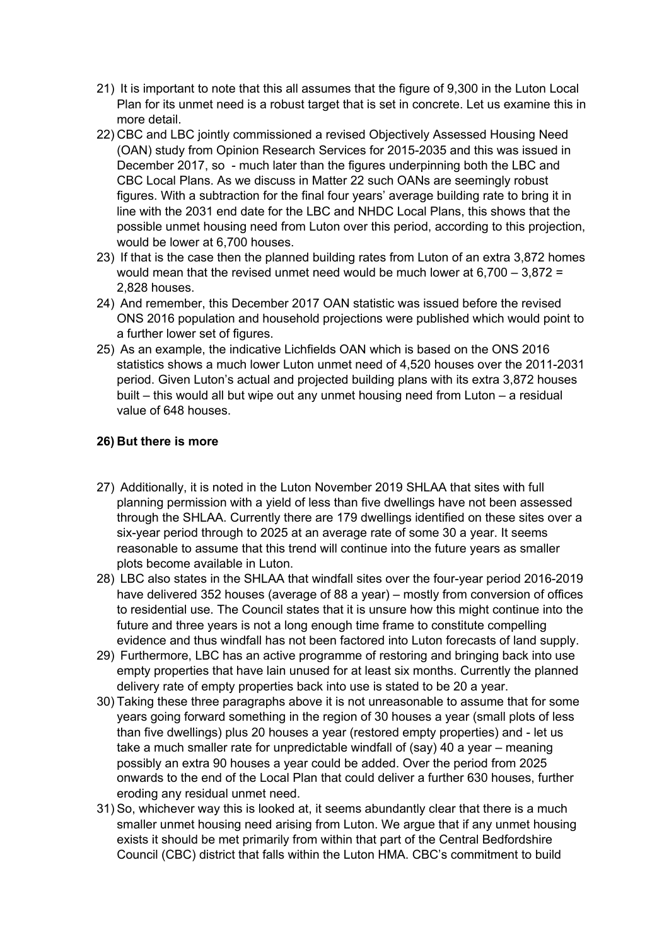- 21) It is important to note that this all assumes that the figure of 9,300 in the Luton Local Plan for its unmet need is a robust target that is set in concrete. Let us examine this in more detail.
- 22) CBC and LBC jointly commissioned a revised Objectively Assessed Housing Need (OAN) study from Opinion Research Services for 2015-2035 and this was issued in December 2017, so - much later than the figures underpinning both the LBC and CBC Local Plans. As we discuss in Matter 22 such OANs are seemingly robust figures. With a subtraction for the final four years' average building rate to bring it in line with the 2031 end date for the LBC and NHDC Local Plans, this shows that the possible unmet housing need from Luton over this period, according to this projection, would be lower at 6,700 houses.
- 23) If that is the case then the planned building rates from Luton of an extra 3,872 homes would mean that the revised unmet need would be much lower at 6,700 – 3,872 = 2,828 houses.
- 24) And remember, this December 2017 OAN statistic was issued before the revised ONS 2016 population and household projections were published which would point to a further lower set of figures.
- 25) As an example, the indicative Lichfields OAN which is based on the ONS 2016 statistics shows a much lower Luton unmet need of 4,520 houses over the 2011-2031 period. Given Luton's actual and projected building plans with its extra 3,872 houses built – this would all but wipe out any unmet housing need from Luton – a residual value of 648 houses.

#### **26) But there is more**

- 27) Additionally, it is noted in the Luton November 2019 SHLAA that sites with full planning permission with a yield of less than five dwellings have not been assessed through the SHLAA. Currently there are 179 dwellings identified on these sites over a six-year period through to 2025 at an average rate of some 30 a year. It seems reasonable to assume that this trend will continue into the future years as smaller plots become available in Luton.
- 28) LBC also states in the SHLAA that windfall sites over the four-year period 2016-2019 have delivered 352 houses (average of 88 a year) – mostly from conversion of offices to residential use. The Council states that it is unsure how this might continue into the future and three years is not a long enough time frame to constitute compelling evidence and thus windfall has not been factored into Luton forecasts of land supply.
- 29) Furthermore, LBC has an active programme of restoring and bringing back into use empty properties that have lain unused for at least six months. Currently the planned delivery rate of empty properties back into use is stated to be 20 a year.
- 30) Taking these three paragraphs above it is not unreasonable to assume that for some years going forward something in the region of 30 houses a year (small plots of less than five dwellings) plus 20 houses a year (restored empty properties) and - let us take a much smaller rate for unpredictable windfall of (say) 40 a year – meaning possibly an extra 90 houses a year could be added. Over the period from 2025 onwards to the end of the Local Plan that could deliver a further 630 houses, further eroding any residual unmet need.
- 31) So, whichever way this is looked at, it seems abundantly clear that there is a much smaller unmet housing need arising from Luton. We argue that if any unmet housing exists it should be met primarily from within that part of the Central Bedfordshire Council (CBC) district that falls within the Luton HMA. CBC's commitment to build